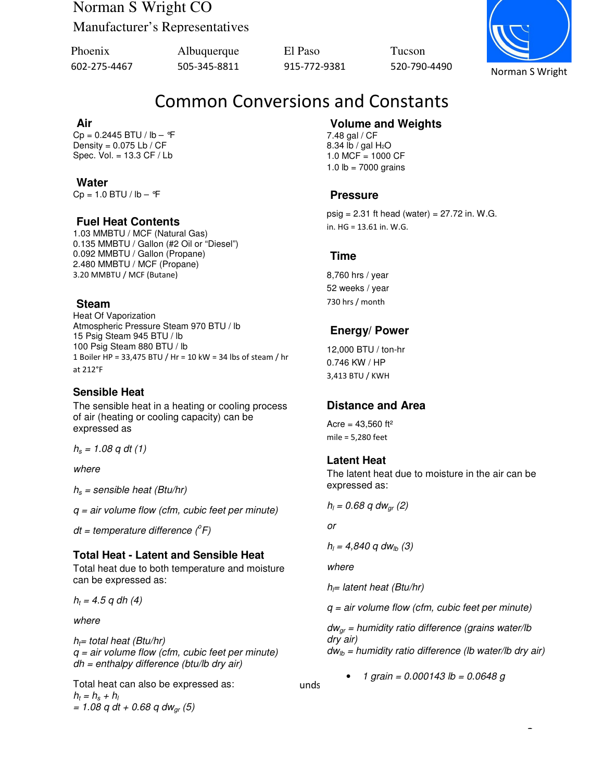# Norman S Wright CO

Manufacturer's Representatives

| Phoenix      | Albuquerque  | El Paso      | <b>Tucson</b> |
|--------------|--------------|--------------|---------------|
| 602-275-4467 | 505-345-8811 | 915-772-9381 | 520-790       |

602-275-4467 505-345-8811 915-772-9381 520-790-4490

Norman S Wright

## Common Conversions and Constants

#### **Air**

 $Cp = 0.2445$  BTU / lb - °F Density =  $0.075$  Lb / CF Spec. Vol. = 13.3 CF / Lb

#### **Water**

 $Cp = 1.0 BTU / lb - <sup>°</sup>F$ 

#### **Fuel Heat Contents**

1.03 MMBTU / MCF (Natural Gas) 0.135 MMBTU / Gallon (#2 Oil or "Diesel") 0.092 MMBTU / Gallon (Propane) 2.480 MMBTU / MCF (Propane) 3.20 MMBTU / MCF (Butane)

#### **Steam**

Heat Of Vaporization Atmospheric Pressure Steam 970 BTU / lb 15 Psig Steam 945 BTU / lb 100 Psig Steam 880 BTU / lb 1 Boiler HP = 33,475 BTU / Hr = 10 kW = 34 lbs of steam / hr at 212°F

#### **Sensible Heat**

The sensible heat in a heating or cooling process of air (heating or cooling capacity) can be expressed as

 $h_s = 1.08$  q dt (1)

where

 $h<sub>s</sub>$  = sensible heat (Btu/hr)

 $q = air$  volume flow (cfm, cubic feet per minute)

 $dt =$  temperature difference  $(^oF)$ 

#### **Total Heat - Latent and Sensible Heat**

Total heat due to both temperature and moisture can be expressed as:

 $h_t = 4.5$  q dh (4)

where

 $h_f$ = total heat (Btu/hr)  $q = air$  volume flow (cfm, cubic feet per minute)  $dh = enthalpy$  difference (btu/lb dry air)

Total heat can also be expressed as: The minute work per minute of work per minute of work per minute of work  $h_t = h_s + h_t$  $= 1.08$  q dt + 0.68 q dw<sub>ar</sub> (5)

### **Volume and Weights**

7.48 gal / CF 8.34 lb / gal  $H_2O$ 1.0 MCF = 1000 CF 1.0  $lb = 7000$  grains

#### **Pressure**

 $psig = 2.31$  ft head (water) = 27.72 in. W.G. in. HG = 13.61 in. W.G.

#### **Time**

8,760 hrs / year 52 weeks / year 730 hrs / month

#### **Energy/ Power**

12,000 BTU / ton-hr 0.746 KW / HP 3,413 BTU / KWH

#### **Distance and Area**

Acre =  $43,560$  ft<sup>2</sup> mile = 5,280 feet

#### **Latent Heat**

The latent heat due to moisture in the air can be expressed as:

$$
h_1 = 0.68
$$
 q dw<sub>gr</sub> (2)

or

 $h_{\text{l}} = 4,840 \text{ q dw}_{\text{lb}} (3)$ 

where

 $h_{\parallel}$ = latent heat (Btu/hr)

 $q = air$  volume flow (cfm, cubic feet per minute)

 $dw_{\alpha r}$  = humidity ratio difference (grains water/lb dry air)  $dw_{1b}$  = humidity ratio difference (lb water/lb dry air)

1

• 1 grain = 0.000143 lb = 0.0648 g